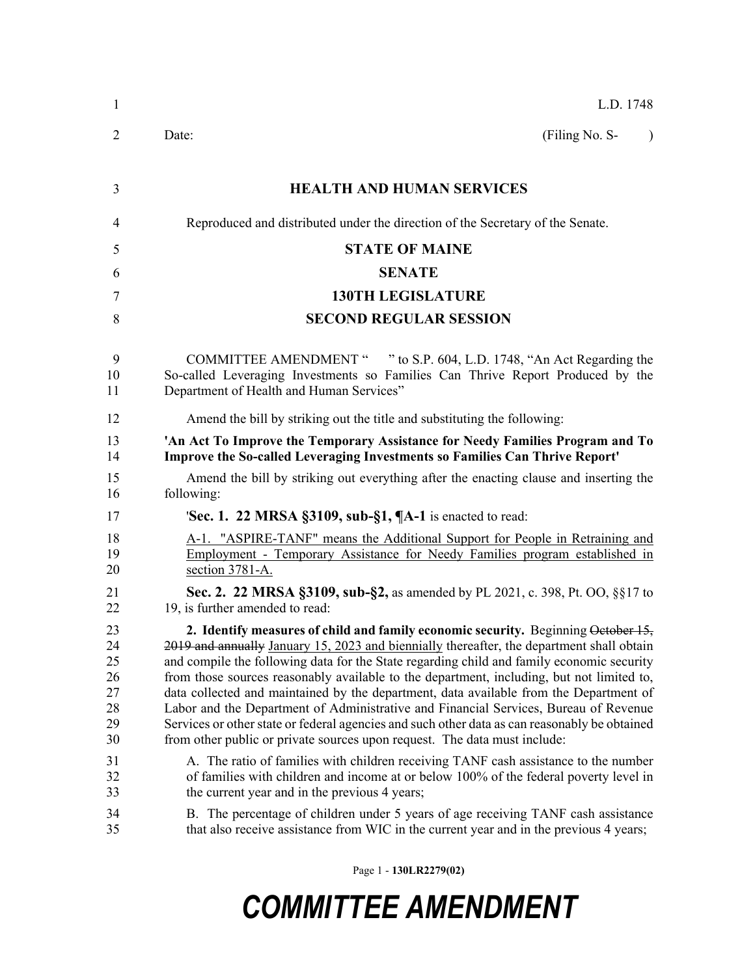| $\mathbf{1}$                                       | L.D. 1748                                                                                                                                                                                                                                                                                                                                                                                                                                                                                                                                                                                                                                                                                                                                                                                                                       |  |  |
|----------------------------------------------------|---------------------------------------------------------------------------------------------------------------------------------------------------------------------------------------------------------------------------------------------------------------------------------------------------------------------------------------------------------------------------------------------------------------------------------------------------------------------------------------------------------------------------------------------------------------------------------------------------------------------------------------------------------------------------------------------------------------------------------------------------------------------------------------------------------------------------------|--|--|
| 2                                                  | (Filing No. S-<br>Date:<br>$\lambda$                                                                                                                                                                                                                                                                                                                                                                                                                                                                                                                                                                                                                                                                                                                                                                                            |  |  |
| 3                                                  | <b>HEALTH AND HUMAN SERVICES</b>                                                                                                                                                                                                                                                                                                                                                                                                                                                                                                                                                                                                                                                                                                                                                                                                |  |  |
| 4                                                  | Reproduced and distributed under the direction of the Secretary of the Senate.                                                                                                                                                                                                                                                                                                                                                                                                                                                                                                                                                                                                                                                                                                                                                  |  |  |
| 5                                                  | <b>STATE OF MAINE</b>                                                                                                                                                                                                                                                                                                                                                                                                                                                                                                                                                                                                                                                                                                                                                                                                           |  |  |
| 6                                                  | <b>SENATE</b>                                                                                                                                                                                                                                                                                                                                                                                                                                                                                                                                                                                                                                                                                                                                                                                                                   |  |  |
| 7                                                  | <b>130TH LEGISLATURE</b>                                                                                                                                                                                                                                                                                                                                                                                                                                                                                                                                                                                                                                                                                                                                                                                                        |  |  |
| 8                                                  | <b>SECOND REGULAR SESSION</b>                                                                                                                                                                                                                                                                                                                                                                                                                                                                                                                                                                                                                                                                                                                                                                                                   |  |  |
| 9<br>10<br>11                                      | COMMITTEE AMENDMENT " " to S.P. 604, L.D. 1748, "An Act Regarding the<br>So-called Leveraging Investments so Families Can Thrive Report Produced by the<br>Department of Health and Human Services"                                                                                                                                                                                                                                                                                                                                                                                                                                                                                                                                                                                                                             |  |  |
| 12                                                 | Amend the bill by striking out the title and substituting the following:                                                                                                                                                                                                                                                                                                                                                                                                                                                                                                                                                                                                                                                                                                                                                        |  |  |
| 13<br>14                                           | 'An Act To Improve the Temporary Assistance for Needy Families Program and To<br><b>Improve the So-called Leveraging Investments so Families Can Thrive Report'</b>                                                                                                                                                                                                                                                                                                                                                                                                                                                                                                                                                                                                                                                             |  |  |
| 15<br>16                                           | Amend the bill by striking out everything after the enacting clause and inserting the<br>following:                                                                                                                                                                                                                                                                                                                                                                                                                                                                                                                                                                                                                                                                                                                             |  |  |
| 17                                                 | <b>Sec. 1. 22 MRSA §3109, sub-§1, <math>\P</math>A-1</b> is enacted to read:                                                                                                                                                                                                                                                                                                                                                                                                                                                                                                                                                                                                                                                                                                                                                    |  |  |
| 18<br>19<br>20                                     | A-1. "ASPIRE-TANF" means the Additional Support for People in Retraining and<br>Employment - Temporary Assistance for Needy Families program established in<br>section 3781-A.                                                                                                                                                                                                                                                                                                                                                                                                                                                                                                                                                                                                                                                  |  |  |
| 21<br>22                                           | <b>Sec. 2. 22 MRSA §3109, sub-§2, as amended by PL 2021, c. 398, Pt. OO, §§17 to</b><br>19, is further amended to read:                                                                                                                                                                                                                                                                                                                                                                                                                                                                                                                                                                                                                                                                                                         |  |  |
| 23<br>24<br>25<br>26<br>27<br>28<br>29<br>30<br>31 | 2. Identify measures of child and family economic security. Beginning October 15,<br>2019 and annually January 15, 2023 and biennially thereafter, the department shall obtain<br>and compile the following data for the State regarding child and family economic security<br>from those sources reasonably available to the department, including, but not limited to,<br>data collected and maintained by the department, data available from the Department of<br>Labor and the Department of Administrative and Financial Services, Bureau of Revenue<br>Services or other state or federal agencies and such other data as can reasonably be obtained<br>from other public or private sources upon request. The data must include:<br>A. The ratio of families with children receiving TANF cash assistance to the number |  |  |
| 32<br>33                                           | of families with children and income at or below 100% of the federal poverty level in<br>the current year and in the previous 4 years;                                                                                                                                                                                                                                                                                                                                                                                                                                                                                                                                                                                                                                                                                          |  |  |
| 34<br>35                                           | B. The percentage of children under 5 years of age receiving TANF cash assistance<br>that also receive assistance from WIC in the current year and in the previous 4 years;                                                                                                                                                                                                                                                                                                                                                                                                                                                                                                                                                                                                                                                     |  |  |

Page 1 - **130LR2279(02)**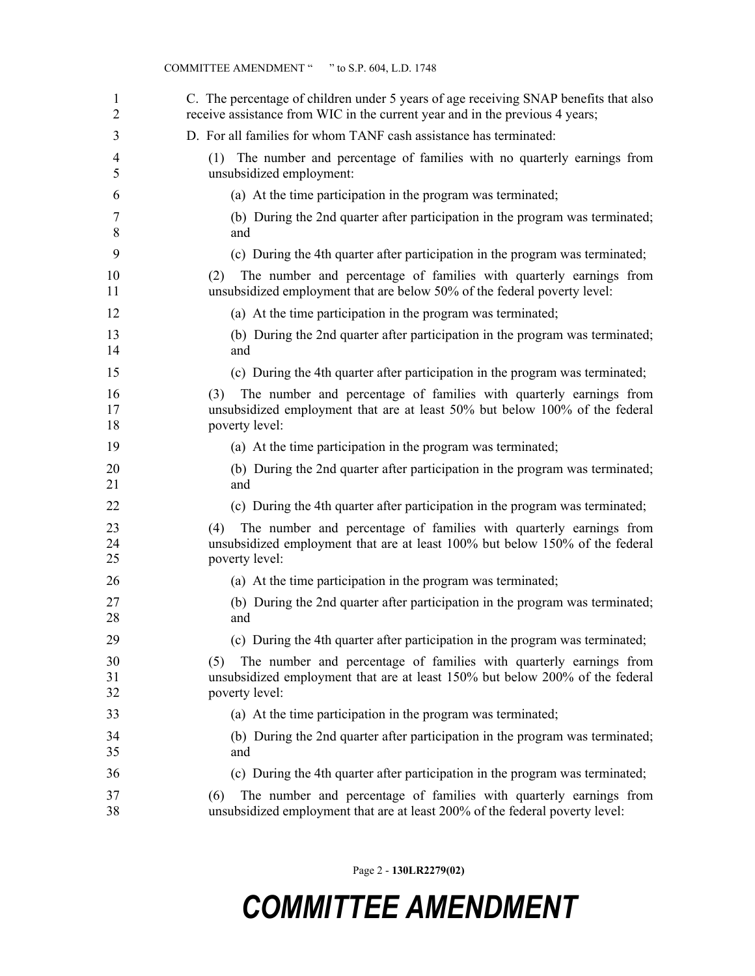| 1<br>$\overline{2}$ | C. The percentage of children under 5 years of age receiving SNAP benefits that also<br>receive assistance from WIC in the current year and in the previous 4 years;        |
|---------------------|-----------------------------------------------------------------------------------------------------------------------------------------------------------------------------|
| 3                   | D. For all families for whom TANF cash assistance has terminated:                                                                                                           |
| 4<br>5              | The number and percentage of families with no quarterly earnings from<br>(1)<br>unsubsidized employment:                                                                    |
| 6                   | (a) At the time participation in the program was terminated;                                                                                                                |
| 7<br>8              | (b) During the 2nd quarter after participation in the program was terminated;<br>and                                                                                        |
| 9                   | (c) During the 4th quarter after participation in the program was terminated;                                                                                               |
| 10<br>11            | The number and percentage of families with quarterly earnings from<br>(2)<br>unsubsidized employment that are below 50% of the federal poverty level:                       |
| 12                  | (a) At the time participation in the program was terminated;                                                                                                                |
| 13<br>14            | (b) During the 2nd quarter after participation in the program was terminated;<br>and                                                                                        |
| 15                  | (c) During the 4th quarter after participation in the program was terminated;                                                                                               |
| 16<br>17<br>18      | The number and percentage of families with quarterly earnings from<br>(3)<br>unsubsidized employment that are at least 50% but below 100% of the federal<br>poverty level:  |
| 19                  | (a) At the time participation in the program was terminated;                                                                                                                |
| 20<br>21            | (b) During the 2nd quarter after participation in the program was terminated;<br>and                                                                                        |
| 22                  | (c) During the 4th quarter after participation in the program was terminated;                                                                                               |
| 23<br>24<br>25      | The number and percentage of families with quarterly earnings from<br>(4)<br>unsubsidized employment that are at least 100% but below 150% of the federal<br>poverty level: |
| 26                  | (a) At the time participation in the program was terminated;                                                                                                                |
| 27<br>28            | (b) During the 2nd quarter after participation in the program was terminated;<br>and                                                                                        |
| 29                  | (c) During the 4th quarter after participation in the program was terminated;                                                                                               |
| 30<br>31<br>32      | The number and percentage of families with quarterly earnings from<br>(5)<br>unsubsidized employment that are at least 150% but below 200% of the federal<br>poverty level: |
| 33                  | (a) At the time participation in the program was terminated;                                                                                                                |
| 34<br>35            | (b) During the 2nd quarter after participation in the program was terminated;<br>and                                                                                        |
| 36                  | (c) During the 4th quarter after participation in the program was terminated;                                                                                               |
| 37<br>38            | The number and percentage of families with quarterly earnings from<br>(6)<br>unsubsidized employment that are at least 200% of the federal poverty level:                   |

Page 2 - **130LR2279(02)**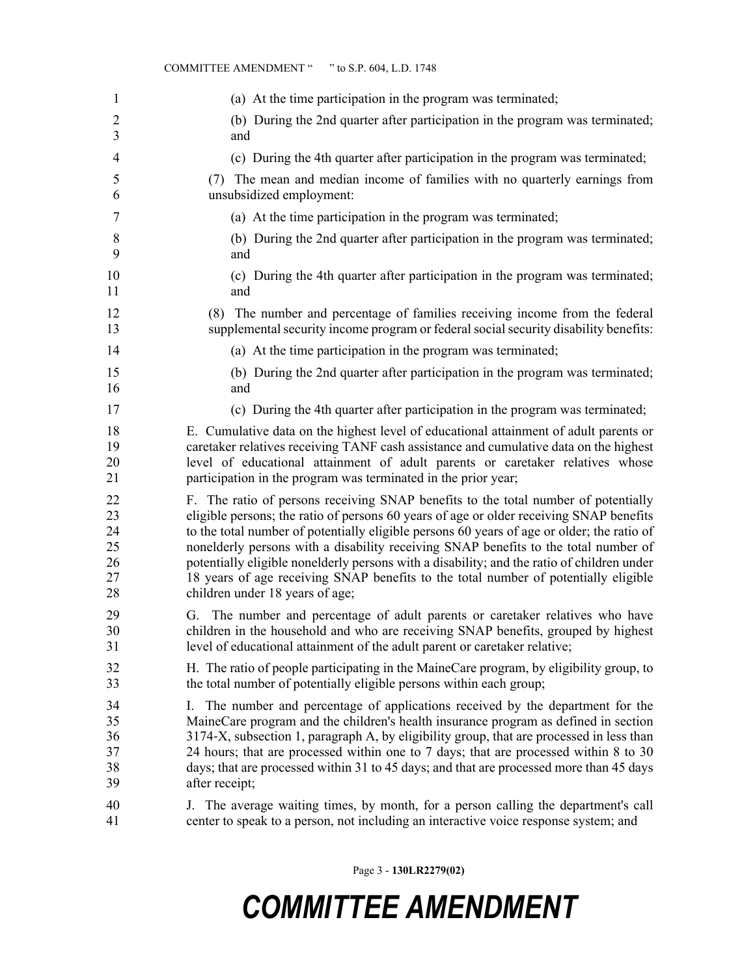| 1              | (a) At the time participation in the program was terminated;                                                                                                                  |
|----------------|-------------------------------------------------------------------------------------------------------------------------------------------------------------------------------|
| $\overline{2}$ | (b) During the 2nd quarter after participation in the program was terminated;                                                                                                 |
| 3              | and                                                                                                                                                                           |
| $\overline{4}$ | (c) During the 4th quarter after participation in the program was terminated;                                                                                                 |
| 5              | (7) The mean and median income of families with no quarterly earnings from                                                                                                    |
| 6              | unsubsidized employment:                                                                                                                                                      |
| 7              | (a) At the time participation in the program was terminated;                                                                                                                  |
| 8              | (b) During the 2nd quarter after participation in the program was terminated;                                                                                                 |
| 9              | and                                                                                                                                                                           |
| 10             | (c) During the 4th quarter after participation in the program was terminated;                                                                                                 |
| 11             | and                                                                                                                                                                           |
| 12             | (8) The number and percentage of families receiving income from the federal                                                                                                   |
| 13             | supplemental security income program or federal social security disability benefits:                                                                                          |
| 14             | (a) At the time participation in the program was terminated;                                                                                                                  |
| 15             | (b) During the 2nd quarter after participation in the program was terminated;                                                                                                 |
| 16             | and                                                                                                                                                                           |
| 17             | (c) During the 4th quarter after participation in the program was terminated;                                                                                                 |
| 18             | E. Cumulative data on the highest level of educational attainment of adult parents or                                                                                         |
| 19             | caretaker relatives receiving TANF cash assistance and cumulative data on the highest                                                                                         |
| 20             | level of educational attainment of adult parents or caretaker relatives whose                                                                                                 |
| 21             | participation in the program was terminated in the prior year;                                                                                                                |
| 22             | F. The ratio of persons receiving SNAP benefits to the total number of potentially                                                                                            |
| 23             | eligible persons; the ratio of persons 60 years of age or older receiving SNAP benefits                                                                                       |
| 24             | to the total number of potentially eligible persons 60 years of age or older; the ratio of                                                                                    |
| 25             | nonelderly persons with a disability receiving SNAP benefits to the total number of                                                                                           |
| 26             | potentially eligible nonelderly persons with a disability; and the ratio of children under                                                                                    |
| 27             | 18 years of age receiving SNAP benefits to the total number of potentially eligible                                                                                           |
| 28             | children under 18 years of age;                                                                                                                                               |
| 29             | G. The number and percentage of adult parents or caretaker relatives who have                                                                                                 |
| 30             | children in the household and who are receiving SNAP benefits, grouped by highest                                                                                             |
| 31             | level of educational attainment of the adult parent or caretaker relative;                                                                                                    |
| 32             | H. The ratio of people participating in the MaineCare program, by eligibility group, to                                                                                       |
| 33             | the total number of potentially eligible persons within each group;                                                                                                           |
| 34             | I. The number and percentage of applications received by the department for the                                                                                               |
| 35             | MaineCare program and the children's health insurance program as defined in section                                                                                           |
| 36             | 3174-X, subsection 1, paragraph A, by eligibility group, that are processed in less than                                                                                      |
| 37             | 24 hours; that are processed within one to 7 days; that are processed within 8 to 30                                                                                          |
| 38             | days; that are processed within 31 to 45 days; and that are processed more than 45 days                                                                                       |
| 39             | after receipt;                                                                                                                                                                |
| 40<br>41       | The average waiting times, by month, for a person calling the department's call<br>J.<br>center to speak to a person, not including an interactive voice response system; and |

COMMITTEE AMENDMENT " " to S.P. 604, L.D. 1748

Page 3 - **130LR2279(02)**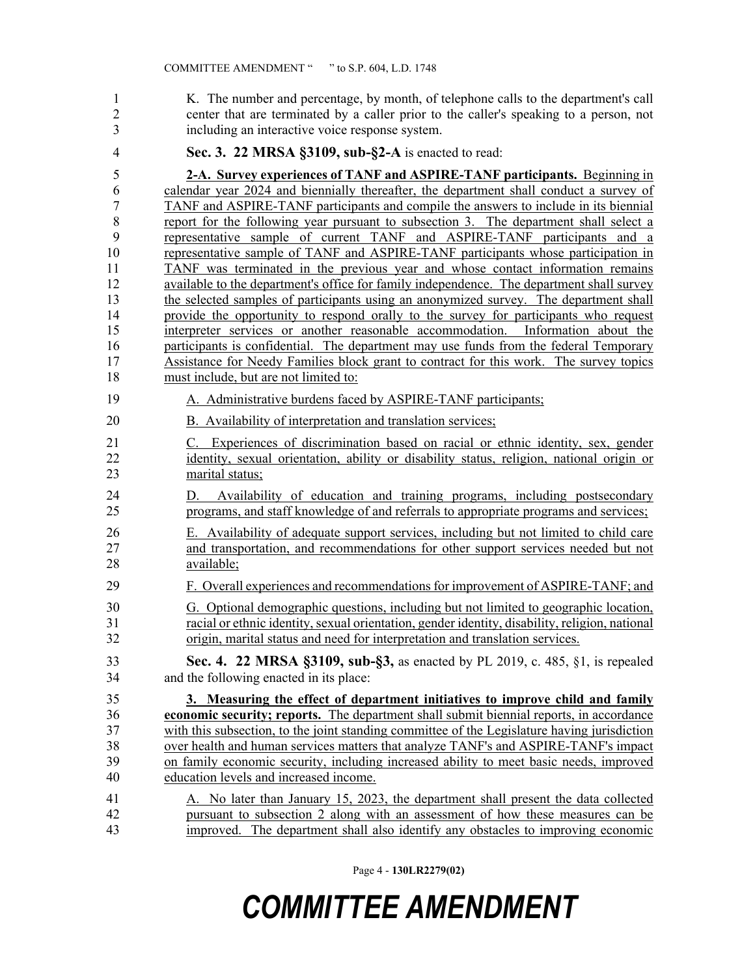1 K. The number and percentage, by month, of telephone calls to the department's call 2 center that are terminated by a caller prior to the caller's speaking to a person, not 3 including an interactive voice response system.

#### 4 **Sec. 3. 22 MRSA §3109, sub-§2-A** is enacted to read:

5 **2-A. Survey experiences of TANF and ASPIRE-TANF participants.** Beginning in 6 calendar year 2024 and biennially thereafter, the department shall conduct a survey of 7 TANF and ASPIRE-TANF participants and compile the answers to include in its biennial 8 report for the following year pursuant to subsection 3. The department shall select a 9 representative sample of current TANF and ASPIRE-TANF participants and a 10 representative sample of TANF and ASPIRE-TANF participants whose participation in 11 TANF was terminated in the previous year and whose contact information remains 12 available to the department's office for family independence. The department shall survey 13 the selected samples of participants using an anonymized survey. The department shall 14 provide the opportunity to respond orally to the survey for participants who request 15 interpreter services or another reasonable accommodation. Information about the 16 participants is confidential. The department may use funds from the federal Temporary 17 Assistance for Needy Families block grant to contract for this work. The survey topics 18 must include, but are not limited to:

- 19 A. Administrative burdens faced by ASPIRE-TANF participants;
- 20 B. Availability of interpretation and translation services;
- 21 C. Experiences of discrimination based on racial or ethnic identity, sex, gender 22 identity, sexual orientation, ability or disability status, religion, national origin or 23 marital status;
- 24 D. Availability of education and training programs, including postsecondary 25 programs, and staff knowledge of and referrals to appropriate programs and services;
- 26 E. Availability of adequate support services, including but not limited to child care 27 and transportation, and recommendations for other support services needed but not 28 available;
- 29 F. Overall experiences and recommendations for improvement of ASPIRE-TANF; and
- 30 G. Optional demographic questions, including but not limited to geographic location, 31 racial or ethnic identity, sexual orientation, gender identity, disability, religion, national 32 origin, marital status and need for interpretation and translation services.
- 33 **Sec. 4. 22 MRSA §3109, sub-§3,** as enacted by PL 2019, c. 485, §1, is repealed 34 and the following enacted in its place:

35 **3. Measuring the effect of department initiatives to improve child and family**  36 **economic security; reports.** The department shall submit biennial reports, in accordance 37 with this subsection, to the joint standing committee of the Legislature having jurisdiction 38 over health and human services matters that analyze TANF's and ASPIRE-TANF's impact 39 on family economic security, including increased ability to meet basic needs, improved 40 education levels and increased income.

#### 41 A. No later than January 15, 2023, the department shall present the data collected 42 pursuant to subsection 2 along with an assessment of how these measures can be 43 improved. The department shall also identify any obstacles to improving economic

Page 4 - **130LR2279(02)**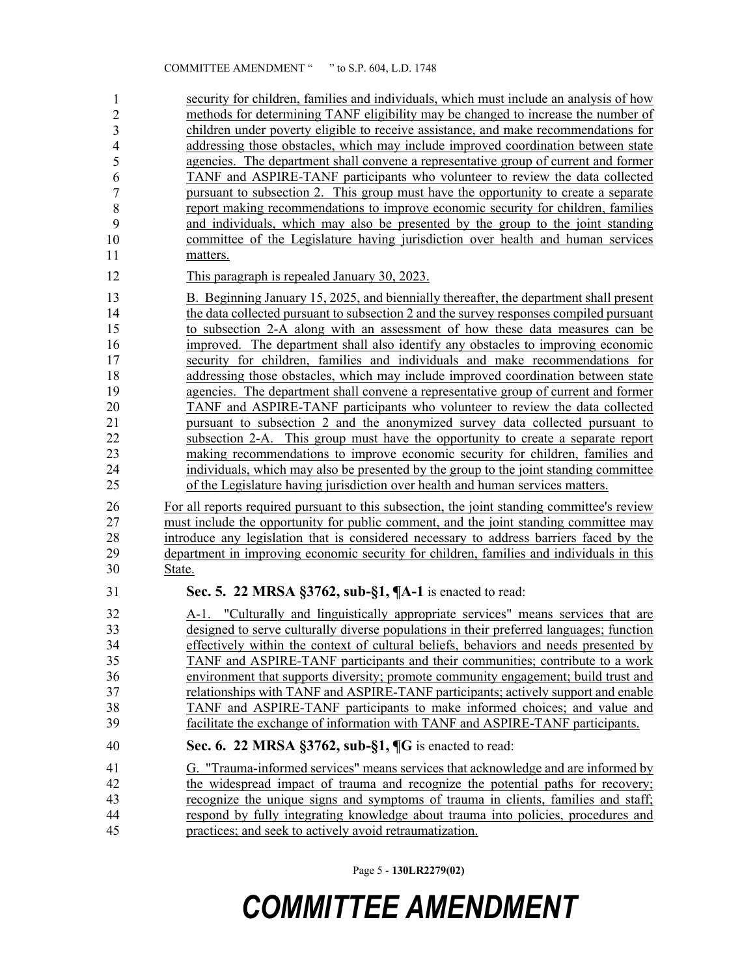security for children, families and individuals, which must include an analysis of how methods for determining TANF eligibility may be changed to increase the number of 46 children under poverty eligible to receive assistance, and make recommendations for addressing those obstacles, which may include improved coordination between state agencies. The department shall convene a representative group of current and former TANF and ASPIRE-TANF participants who volunteer to review the data collected 50 pursuant to subsection 2. This group must have the opportunity to create a separate 51 report making recommendations to improve economic security for children, families and individuals, which may also be presented by the group to the joint standing 53 committee of the Legislature having jurisdiction over health and human services matters. 12 This paragraph is repealed January 30, 2023. 13 B. Beginning January 15, 2025, and biennially thereafter, the department shall present 14 the data collected pursuant to subsection 2 and the survey responses compiled pursuant 15 to subsection 2-A along with an assessment of how these data measures can be 16 improved. The department shall also identify any obstacles to improving economic 17 security for children, families and individuals and make recommendations for 18 addressing those obstacles, which may include improved coordination between state 19 agencies. The department shall convene a representative group of current and former 20 TANF and ASPIRE-TANF participants who volunteer to review the data collected 21 pursuant to subsection 2 and the anonymized survey data collected pursuant to 22 subsection 2-A. This group must have the opportunity to create a separate report 23 making recommendations to improve economic security for children, families and 24 individuals, which may also be presented by the group to the joint standing committee 25 of the Legislature having jurisdiction over health and human services matters. 26 For all reports required pursuant to this subsection, the joint standing committee's review 27 must include the opportunity for public comment, and the joint standing committee may 28 introduce any legislation that is considered necessary to address barriers faced by the 29 department in improving economic security for children, families and individuals in this 30 State. 31 **Sec. 5. 22 MRSA §3762, sub-§1, ¶A-1** is enacted to read: 32 A-1. "Culturally and linguistically appropriate services" means services that are 33 designed to serve culturally diverse populations in their preferred languages; function 34 effectively within the context of cultural beliefs, behaviors and needs presented by 35 TANF and ASPIRE-TANF participants and their communities; contribute to a work 36 environment that supports diversity; promote community engagement; build trust and 37 relationships with TANF and ASPIRE-TANF participants; actively support and enable 38 TANF and ASPIRE-TANF participants to make informed choices; and value and 39 facilitate the exchange of information with TANF and ASPIRE-TANF participants. 40 **Sec. 6. 22 MRSA §3762, sub-§1, ¶G** is enacted to read: 41 G. "Trauma-informed services" means services that acknowledge and are informed by 42 the widespread impact of trauma and recognize the potential paths for recovery; 43 recognize the unique signs and symptoms of trauma in clients, families and staff; 44 respond by fully integrating knowledge about trauma into policies, procedures and 45 practices; and seek to actively avoid retraumatization. 1 2 3 4 5 6 7 8 9 10 11

Page 5 - **130LR2279(02)**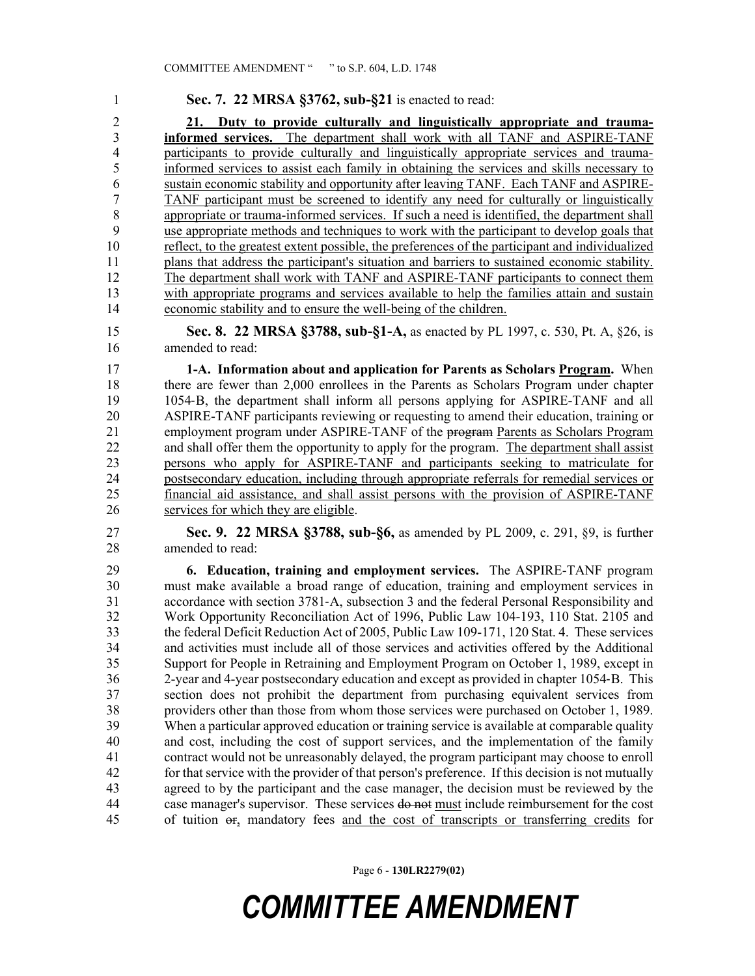1 **Sec. 7. 22 MRSA §3762, sub-§21** is enacted to read: 2 **21. Duty to provide culturally and linguistically appropriate and trauma-**3 **informed services.** The department shall work with all TANF and ASPIRE-TANF 4 participants to provide culturally and linguistically appropriate services and trauma-5 informed services to assist each family in obtaining the services and skills necessary to 6 sustain economic stability and opportunity after leaving TANF. Each TANF and ASPIRE-7 TANF participant must be screened to identify any need for culturally or linguistically 8 appropriate or trauma-informed services. If such a need is identified, the department shall 9 use appropriate methods and techniques to work with the participant to develop goals that 10 reflect, to the greatest extent possible, the preferences of the participant and individualized 11 plans that address the participant's situation and barriers to sustained economic stability. 12 The department shall work with TANF and ASPIRE-TANF participants to connect them 13 with appropriate programs and services available to help the families attain and sustain 14 economic stability and to ensure the well-being of the children.

15 **Sec. 8. 22 MRSA §3788, sub-§1-A,** as enacted by PL 1997, c. 530, Pt. A, §26, is 16 amended to read:

17 **1-A. Information about and application for Parents as Scholars Program.** When 18 there are fewer than 2,000 enrollees in the Parents as Scholars Program under chapter 19 1054‑B, the department shall inform all persons applying for ASPIRE-TANF and all 20 ASPIRE-TANF participants reviewing or requesting to amend their education, training or 21 employment program under ASPIRE-TANF of the program Parents as Scholars Program 22 and shall offer them the opportunity to apply for the program. The department shall assist 23 persons who apply for ASPIRE-TANF and participants seeking to matriculate for 24 postsecondary education, including through appropriate referrals for remedial services or 25 financial aid assistance, and shall assist persons with the provision of ASPIRE-TANF 26 services for which they are eligible.

27 **Sec. 9. 22 MRSA §3788, sub-§6,** as amended by PL 2009, c. 291, §9, is further 28 amended to read:

29 **6. Education, training and employment services.** The ASPIRE-TANF program 30 must make available a broad range of education, training and employment services in 31 accordance with section 3781‑A, subsection 3 and the federal Personal Responsibility and 32 Work Opportunity Reconciliation Act of 1996, Public Law 104-193, 110 Stat. 2105 and 33 the federal Deficit Reduction Act of 2005, Public Law 109-171, 120 Stat. 4. These services 34 and activities must include all of those services and activities offered by the Additional 35 Support for People in Retraining and Employment Program on October 1, 1989, except in 36 2-year and 4-year postsecondary education and except as provided in chapter 1054‑B. This 37 section does not prohibit the department from purchasing equivalent services from 38 providers other than those from whom those services were purchased on October 1, 1989. 39 When a particular approved education or training service is available at comparable quality 40 and cost, including the cost of support services, and the implementation of the family 41 contract would not be unreasonably delayed, the program participant may choose to enroll 42 for that service with the provider of that person's preference. If this decision is not mutually 43 agreed to by the participant and the case manager, the decision must be reviewed by the 44 case manager's supervisor. These services do not must include reimbursement for the cost 45 of tuition or, mandatory fees and the cost of transcripts or transferring credits for

Page 6 - **130LR2279(02)**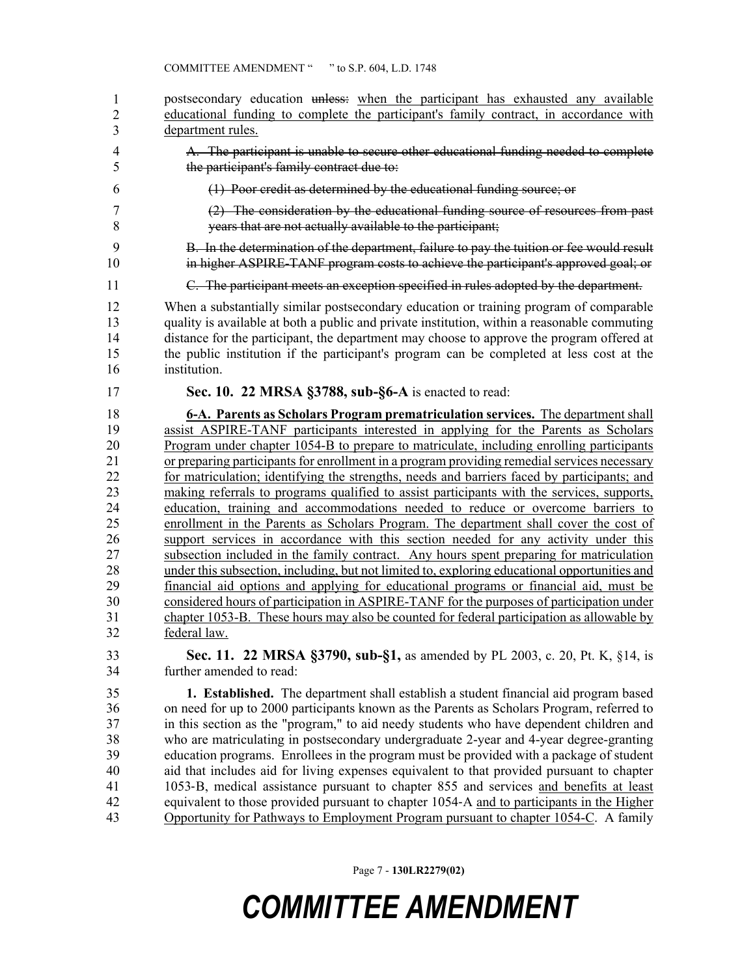| 1              | postsecondary education unless: when the participant has exhausted any available              |  |
|----------------|-----------------------------------------------------------------------------------------------|--|
| $\overline{2}$ | educational funding to complete the participant's family contract, in accordance with         |  |
| 3              | department rules.                                                                             |  |
| 4              | A. The participant is unable to secure other educational funding needed to complete           |  |
| 5              | the participant's family contract due to:                                                     |  |
| 6              | (1) Poor credit as determined by the educational funding source; or                           |  |
| 7              | (2) The consideration by the educational funding source of resources from past                |  |
| 8              | years that are not actually available to the participant;                                     |  |
| 9              | B. In the determination of the department, failure to pay the tuition or fee would result     |  |
| 10             | in higher ASPIRE-TANF program costs to achieve the participant's approved goal; or            |  |
| 11             | C. The participant meets an exception specified in rules adopted by the department.           |  |
| 12             | When a substantially similar postsecondary education or training program of comparable        |  |
| 13             | quality is available at both a public and private institution, within a reasonable commuting  |  |
| 14             | distance for the participant, the department may choose to approve the program offered at     |  |
| 15             | the public institution if the participant's program can be completed at less cost at the      |  |
| 16             | institution.                                                                                  |  |
| 17             | Sec. 10. 22 MRSA §3788, sub-§6-A is enacted to read:                                          |  |
| 18             | 6-A. Parents as Scholars Program prematriculation services. The department shall              |  |
| 19             | assist ASPIRE-TANF participants interested in applying for the Parents as Scholars            |  |
| 20             | Program under chapter 1054-B to prepare to matriculate, including enrolling participants      |  |
| 21             | or preparing participants for enrollment in a program providing remedial services necessary   |  |
| 22             | for matriculation; identifying the strengths, needs and barriers faced by participants; and   |  |
| 23             | making referrals to programs qualified to assist participants with the services, supports,    |  |
| 24             | education, training and accommodations needed to reduce or overcome barriers to               |  |
| 25             | enrollment in the Parents as Scholars Program. The department shall cover the cost of         |  |
| 26             | support services in accordance with this section needed for any activity under this           |  |
| 27             | subsection included in the family contract. Any hours spent preparing for matriculation       |  |
| 28             | under this subsection, including, but not limited to, exploring educational opportunities and |  |
| 29             | financial aid options and applying for educational programs or financial aid, must be         |  |
| 30             | considered hours of participation in ASPIRE-TANF for the purposes of participation under      |  |
| 31             | chapter 1053-B. These hours may also be counted for federal participation as allowable by     |  |
| 32             | federal law.                                                                                  |  |
| 33             | Sec. 11. 22 MRSA §3790, sub-§1, as amended by PL 2003, c. 20, Pt. K, §14, is                  |  |
| 34             | further amended to read:                                                                      |  |
| 35             | <b>1.</b> Established. The department shall establish a student financial aid program based   |  |
| 36             | on need for up to 2000 participants known as the Parents as Scholars Program, referred to     |  |
| 37             | in this section as the "program," to aid needy students who have dependent children and       |  |
| 38             | who are matriculating in postsecondary undergraduate 2-year and 4-year degree-granting        |  |
| 39             | education programs. Enrollees in the program must be provided with a package of student       |  |
| 40             | aid that includes aid for living expenses equivalent to that provided pursuant to chapter     |  |
| 41             | 1053-B, medical assistance pursuant to chapter 855 and services and benefits at least         |  |
| 42             | equivalent to those provided pursuant to chapter 1054-A and to participants in the Higher     |  |
| 43             | Opportunity for Pathways to Employment Program pursuant to chapter 1054-C. A family           |  |

Page 7 - **130LR2279(02)**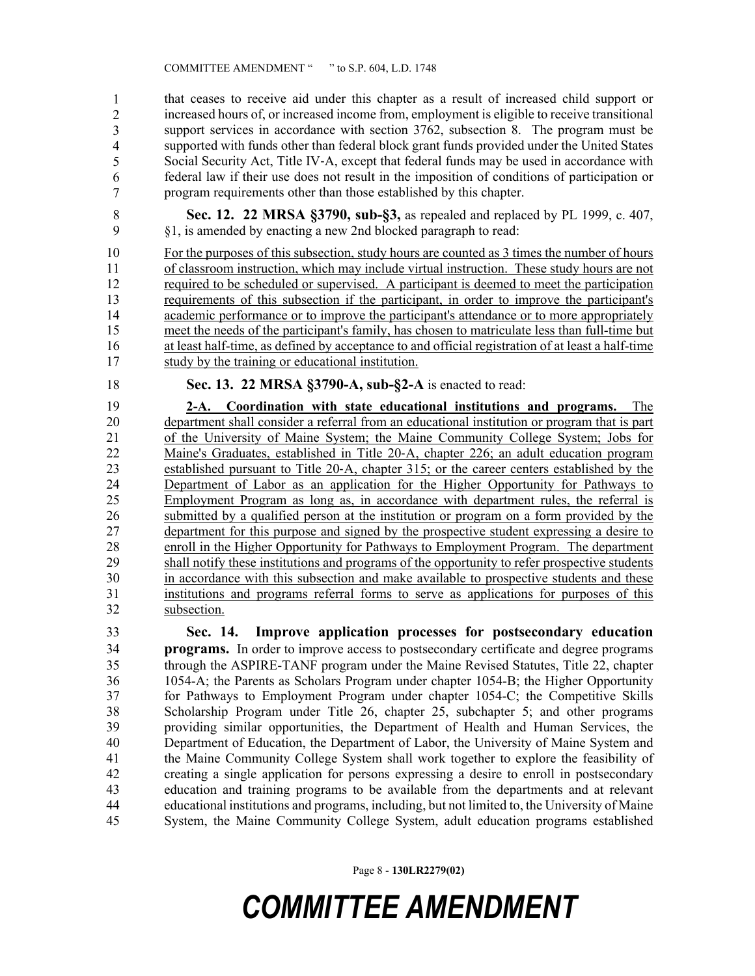44 that ceases to receive aid under this chapter as a result of increased child support or increased hours of, or increased income from, employment is eligible to receive transitional support services in accordance with section  $3762$ , subsection 8. The program must be supported with funds other than federal block grant funds provided under the United States Social Security Act, Title IV-A, except that federal funds may be used in accordance with federal law if their use does not result in the imposition of conditions of participation or program requirements other than those established by this chapter. 1 2 3 4 5 6 7

8 **Sec. 12. 22 MRSA §3790, sub-§3,** as repealed and replaced by PL 1999, c. 407, 9 §1, is amended by enacting a new 2nd blocked paragraph to read:

10 For the purposes of this subsection, study hours are counted as 3 times the number of hours 11 of classroom instruction, which may include virtual instruction. These study hours are not 12 required to be scheduled or supervised. A participant is deemed to meet the participation 13 requirements of this subsection if the participant, in order to improve the participant's 14 academic performance or to improve the participant's attendance or to more appropriately 15 meet the needs of the participant's family, has chosen to matriculate less than full-time but 16 at least half-time, as defined by acceptance to and official registration of at least a half-time 17 study by the training or educational institution.

18 **Sec. 13. 22 MRSA §3790-A, sub-§2-A** is enacted to read:

19 **2-A. Coordination with state educational institutions and programs.** The 20 department shall consider a referral from an educational institution or program that is part 21 of the University of Maine System; the Maine Community College System; Jobs for 22 Maine's Graduates, established in Title 20-A, chapter 226; an adult education program<br>23 established pursuant to Title 20-A, chapter 315; or the career centers established by the established pursuant to Title 20-A, chapter 315; or the career centers established by the 24 Department of Labor as an application for the Higher Opportunity for Pathways to 25 Employment Program as long as, in accordance with department rules, the referral is 26 submitted by a qualified person at the institution or program on a form provided by the 27 department for this purpose and signed by the prospective student expressing a desire to 28 enroll in the Higher Opportunity for Pathways to Employment Program. The department 29 shall notify these institutions and programs of the opportunity to refer prospective students 30 in accordance with this subsection and make available to prospective students and these 31 institutions and programs referral forms to serve as applications for purposes of this 32 subsection.

33 **Sec. 14. Improve application processes for postsecondary education**  34 **programs.** In order to improve access to postsecondary certificate and degree programs 35 through the ASPIRE-TANF program under the Maine Revised Statutes, Title 22, chapter 36 1054-A; the Parents as Scholars Program under chapter 1054-B; the Higher Opportunity 37 for Pathways to Employment Program under chapter 1054-C; the Competitive Skills 38 Scholarship Program under Title 26, chapter 25, subchapter 5; and other programs 39 providing similar opportunities, the Department of Health and Human Services, the 40 Department of Education, the Department of Labor, the University of Maine System and 41 the Maine Community College System shall work together to explore the feasibility of 42 creating a single application for persons expressing a desire to enroll in postsecondary 43 education and training programs to be available from the departments and at relevant 44 educational institutions and programs, including, but not limited to, the University of Maine 45 System, the Maine Community College System, adult education programs established

Page 8 - **130LR2279(02)**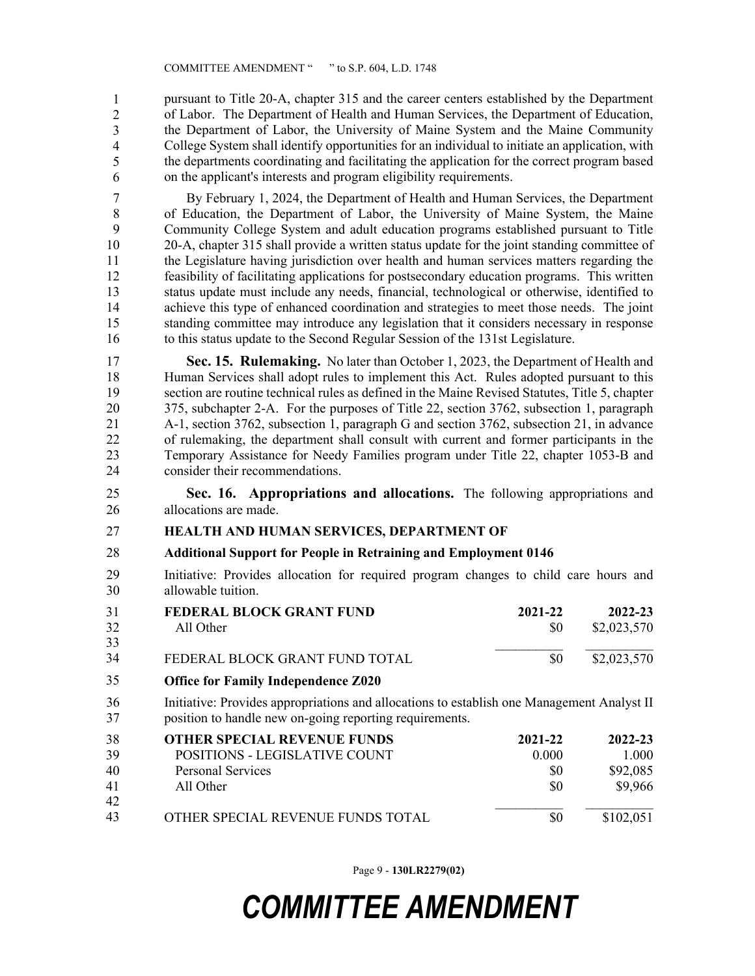pursuant to Title 20-A, chapter 315 and the career centers established by the Department 47 of Labor. The Department of Health and Human Services, the Department of Education, the Department of Labor, the University of Maine System and the Maine Community 49 College System shall identify opportunities for an individual to initiate an application, with the departments coordinating and facilitating the application for the correct program based 51 on the applicant's interests and program eligibility requirements. 1 2 3 4 5 6

7 By February 1, 2024, the Department of Health and Human Services, the Department 8 of Education, the Department of Labor, the University of Maine System, the Maine 9 Community College System and adult education programs established pursuant to Title 10 20-A, chapter 315 shall provide a written status update for the joint standing committee of 11 the Legislature having jurisdiction over health and human services matters regarding the 12 feasibility of facilitating applications for postsecondary education programs. This written 13 status update must include any needs, financial, technological or otherwise, identified to 14 achieve this type of enhanced coordination and strategies to meet those needs. The joint 15 standing committee may introduce any legislation that it considers necessary in response 16 to this status update to the Second Regular Session of the 131st Legislature.

17 **Sec. 15. Rulemaking.** No later than October 1, 2023, the Department of Health and 18 Human Services shall adopt rules to implement this Act. Rules adopted pursuant to this 19 section are routine technical rules as defined in the Maine Revised Statutes, Title 5, chapter 20 375, subchapter 2-A. For the purposes of Title 22, section 3762, subsection 1, paragraph 21 A-1, section 3762, subsection 1, paragraph G and section 3762, subsection 21, in advance 22 of rulemaking, the department shall consult with current and former participants in the<br>23 Temporary Assistance for Needy Families program under Title 22, chapter 1053-B and 23 Temporary Assistance for Needy Families program under Title 22, chapter 1053-B and 24 consider their recommendations.

25 **Sec. 16. Appropriations and allocations.** The following appropriations and 26 allocations are made.

#### 27 **HEALTH AND HUMAN SERVICES, DEPARTMENT OF**

- 28 **Additional Support for People in Retraining and Employment 0146**
- 29 Initiative: Provides allocation for required program changes to child care hours and 30 allowable tuition.

| 31<br>32 | <b>FEDERAL BLOCK GRANT FUND</b><br>All Other                                                                                                          | 2021-22<br>SO.   | 2022-23<br>\$2,023,570 |
|----------|-------------------------------------------------------------------------------------------------------------------------------------------------------|------------------|------------------------|
| 33<br>34 | FEDERAL BLOCK GRANT FUND TOTAL                                                                                                                        | SO.              | \$2,023,570            |
| 35       | <b>Office for Family Independence Z020</b>                                                                                                            |                  |                        |
| 36<br>37 | Initiative: Provides appropriations and allocations to establish one Management Analyst II<br>position to handle new on-going reporting requirements. |                  |                        |
| 38<br>30 | <b>OTHER SPECIAL REVENUE FUNDS</b><br><b>DOSITIONS</b> LEGISI ATIVE COUNT                                                                             | 2021-22<br>0.000 | 2022-23<br>1 ሰሰሰ       |

| 38 | <b>OTHER SPECIAL REVENUE FUNDS</b> | 2021-22 | 2022-23   |
|----|------------------------------------|---------|-----------|
| 39 | POSITIONS - LEGISLATIVE COUNT      | 0.000   | 1.000     |
| 40 | Personal Services                  | \$0     | \$92,085  |
| 41 | All Other                          | \$0     | \$9,966   |
| 42 |                                    |         |           |
| 43 | OTHER SPECIAL REVENUE FUNDS TOTAL  | \$0     | \$102,051 |

Page 9 - **130LR2279(02)**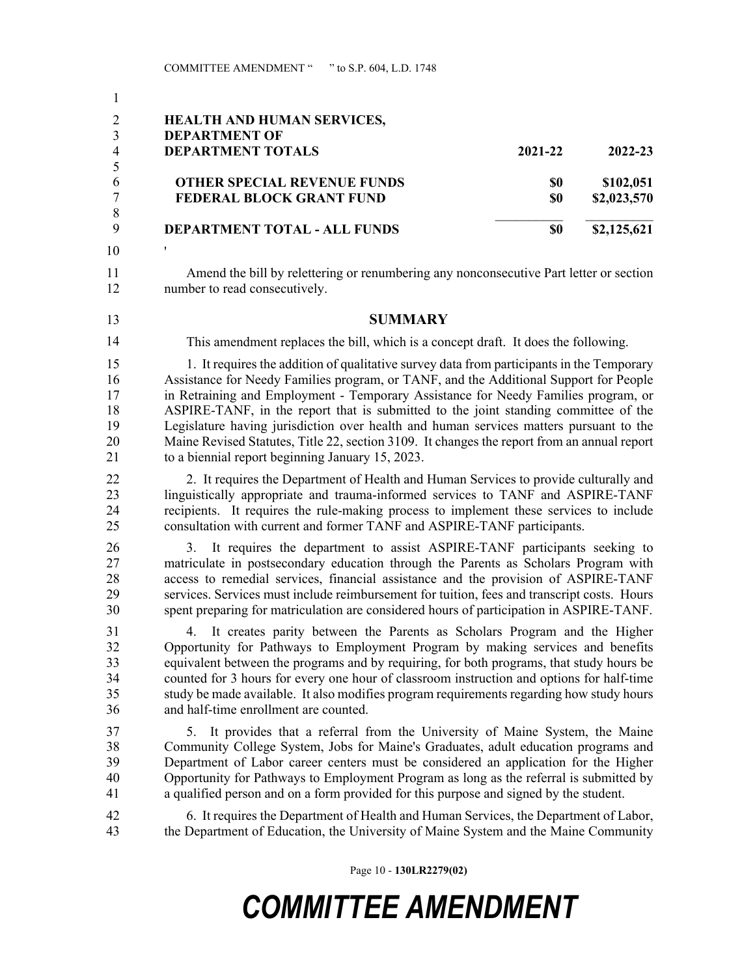| $\mathbf{1}$        |                                                                                                                                                                                        |         |             |
|---------------------|----------------------------------------------------------------------------------------------------------------------------------------------------------------------------------------|---------|-------------|
| $\overline{2}$      | <b>HEALTH AND HUMAN SERVICES,</b>                                                                                                                                                      |         |             |
| 3<br>$\overline{4}$ | <b>DEPARTMENT OF</b>                                                                                                                                                                   |         |             |
| 5                   | <b>DEPARTMENT TOTALS</b>                                                                                                                                                               | 2021-22 | 2022-23     |
| 6                   | <b>OTHER SPECIAL REVENUE FUNDS</b>                                                                                                                                                     | \$0     | \$102,051   |
| $\overline{7}$      | FEDERAL BLOCK GRANT FUND                                                                                                                                                               | \$0     | \$2,023,570 |
| 8<br>9              | <b>DEPARTMENT TOTAL - ALL FUNDS</b>                                                                                                                                                    | \$0     | \$2,125,621 |
| 10                  |                                                                                                                                                                                        |         |             |
| 11<br>12            | Amend the bill by relettering or renumbering any nonconsecutive Part letter or section<br>number to read consecutively.                                                                |         |             |
| 13                  | <b>SUMMARY</b>                                                                                                                                                                         |         |             |
| 14                  | This amendment replaces the bill, which is a concept draft. It does the following.                                                                                                     |         |             |
| 15                  | 1. It requires the addition of qualitative survey data from participants in the Temporary                                                                                              |         |             |
| 16                  | Assistance for Needy Families program, or TANF, and the Additional Support for People                                                                                                  |         |             |
| 17<br>18            | in Retraining and Employment - Temporary Assistance for Needy Families program, or<br>ASPIRE-TANF, in the report that is submitted to the joint standing committee of the              |         |             |
| 19                  | Legislature having jurisdiction over health and human services matters pursuant to the                                                                                                 |         |             |
| 20                  | Maine Revised Statutes, Title 22, section 3109. It changes the report from an annual report                                                                                            |         |             |
| 21                  | to a biennial report beginning January 15, 2023.                                                                                                                                       |         |             |
| 22                  | 2. It requires the Department of Health and Human Services to provide culturally and                                                                                                   |         |             |
| 23                  | linguistically appropriate and trauma-informed services to TANF and ASPIRE-TANF                                                                                                        |         |             |
| 24<br>25            | recipients. It requires the rule-making process to implement these services to include<br>consultation with current and former TANF and ASPIRE-TANF participants.                      |         |             |
| 26                  | 3. It requires the department to assist ASPIRE-TANF participants seeking to                                                                                                            |         |             |
| 27                  | matriculate in postsecondary education through the Parents as Scholars Program with                                                                                                    |         |             |
| 28                  | access to remedial services, financial assistance and the provision of ASPIRE-TANF                                                                                                     |         |             |
| 29<br>30            | services. Services must include reimbursement for tuition, fees and transcript costs. Hours<br>spent preparing for matriculation are considered hours of participation in ASPIRE-TANF. |         |             |
| 31                  | 4. It creates parity between the Parents as Scholars Program and the Higher                                                                                                            |         |             |
| 32                  | Opportunity for Pathways to Employment Program by making services and benefits                                                                                                         |         |             |
| 33                  | equivalent between the programs and by requiring, for both programs, that study hours be                                                                                               |         |             |
| 34                  | counted for 3 hours for every one hour of classroom instruction and options for half-time                                                                                              |         |             |
| 35                  | study be made available. It also modifies program requirements regarding how study hours                                                                                               |         |             |
| 36                  | and half-time enrollment are counted.                                                                                                                                                  |         |             |
| 37<br>38            | It provides that a referral from the University of Maine System, the Maine<br>5.<br>Community College System, Jobs for Maine's Graduates, adult education programs and                 |         |             |
| 39                  | Department of Labor career centers must be considered an application for the Higher                                                                                                    |         |             |
| 40                  | Opportunity for Pathways to Employment Program as long as the referral is submitted by                                                                                                 |         |             |
| 41                  | a qualified person and on a form provided for this purpose and signed by the student.                                                                                                  |         |             |
| 42                  | 6. It requires the Department of Health and Human Services, the Department of Labor,                                                                                                   |         |             |
| 43                  | the Department of Education, the University of Maine System and the Maine Community                                                                                                    |         |             |

Page 10 - **130LR2279(02)**